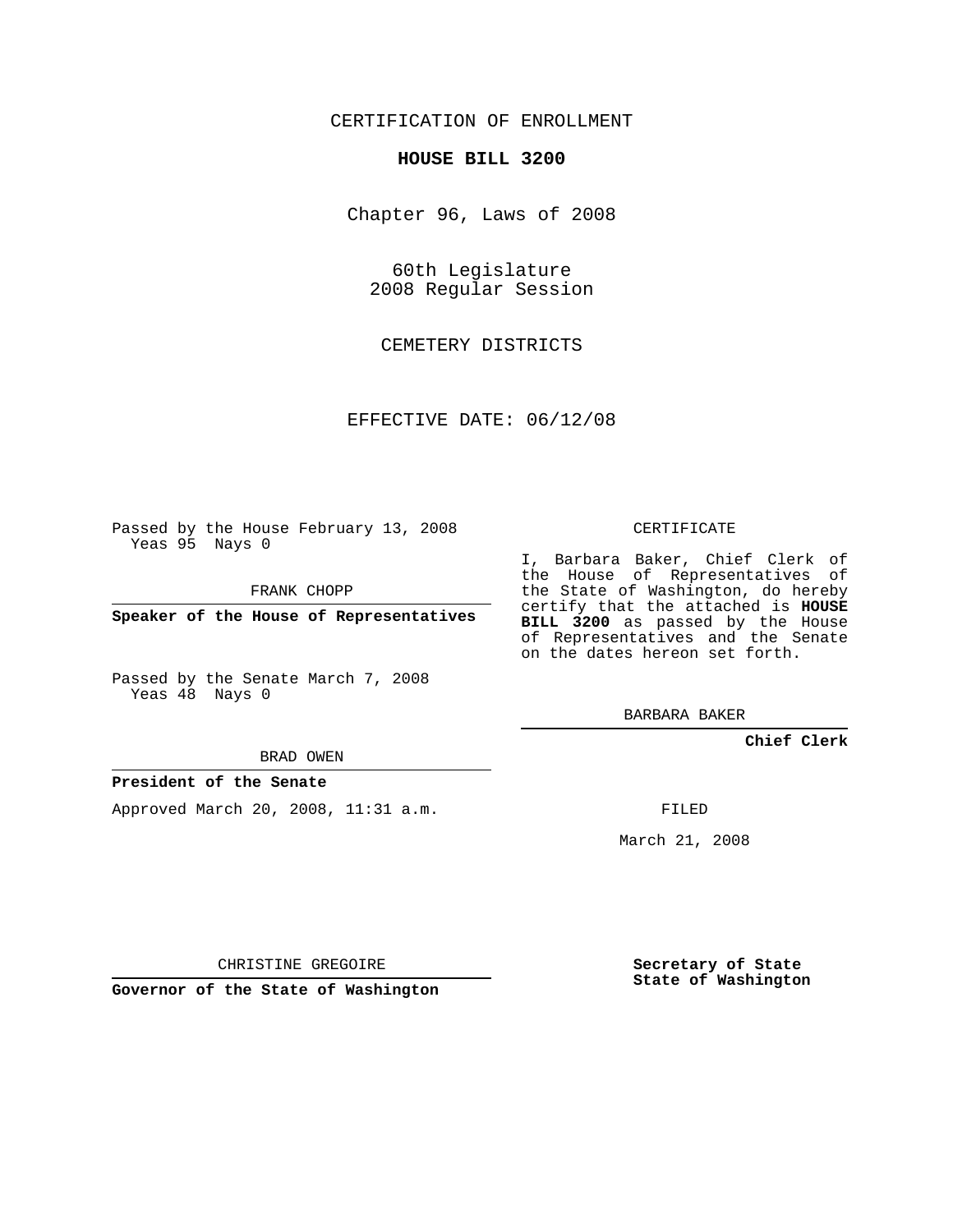## CERTIFICATION OF ENROLLMENT

### **HOUSE BILL 3200**

Chapter 96, Laws of 2008

60th Legislature 2008 Regular Session

CEMETERY DISTRICTS

EFFECTIVE DATE: 06/12/08

Passed by the House February 13, 2008 Yeas 95 Nays 0

FRANK CHOPP

**Speaker of the House of Representatives**

Passed by the Senate March 7, 2008 Yeas 48 Nays 0

#### BRAD OWEN

### **President of the Senate**

Approved March 20, 2008, 11:31 a.m.

CERTIFICATE

I, Barbara Baker, Chief Clerk of the House of Representatives of the State of Washington, do hereby certify that the attached is **HOUSE BILL 3200** as passed by the House of Representatives and the Senate on the dates hereon set forth.

BARBARA BAKER

**Chief Clerk**

FILED

March 21, 2008

CHRISTINE GREGOIRE

**Governor of the State of Washington**

**Secretary of State State of Washington**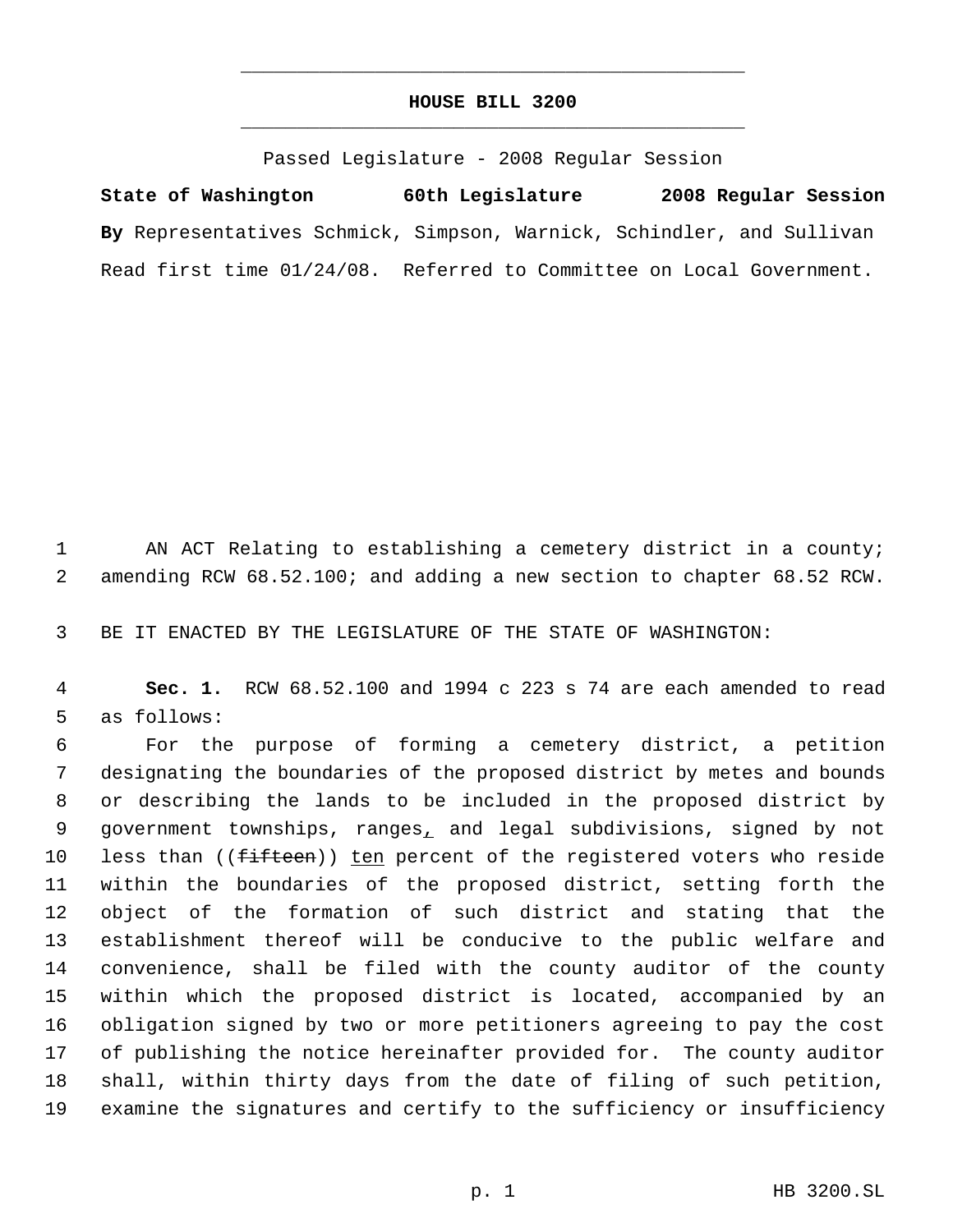# **HOUSE BILL 3200** \_\_\_\_\_\_\_\_\_\_\_\_\_\_\_\_\_\_\_\_\_\_\_\_\_\_\_\_\_\_\_\_\_\_\_\_\_\_\_\_\_\_\_\_\_

\_\_\_\_\_\_\_\_\_\_\_\_\_\_\_\_\_\_\_\_\_\_\_\_\_\_\_\_\_\_\_\_\_\_\_\_\_\_\_\_\_\_\_\_\_

Passed Legislature - 2008 Regular Session

**State of Washington 60th Legislature 2008 Regular Session By** Representatives Schmick, Simpson, Warnick, Schindler, and Sullivan Read first time 01/24/08. Referred to Committee on Local Government.

 AN ACT Relating to establishing a cemetery district in a county; amending RCW 68.52.100; and adding a new section to chapter 68.52 RCW.

BE IT ENACTED BY THE LEGISLATURE OF THE STATE OF WASHINGTON:

 **Sec. 1.** RCW 68.52.100 and 1994 c 223 s 74 are each amended to read as follows:

 For the purpose of forming a cemetery district, a petition designating the boundaries of the proposed district by metes and bounds or describing the lands to be included in the proposed district by 9 government townships, ranges, and legal subdivisions, signed by not 10 less than ((fifteen)) ten percent of the registered voters who reside within the boundaries of the proposed district, setting forth the object of the formation of such district and stating that the establishment thereof will be conducive to the public welfare and convenience, shall be filed with the county auditor of the county within which the proposed district is located, accompanied by an obligation signed by two or more petitioners agreeing to pay the cost of publishing the notice hereinafter provided for. The county auditor shall, within thirty days from the date of filing of such petition, examine the signatures and certify to the sufficiency or insufficiency